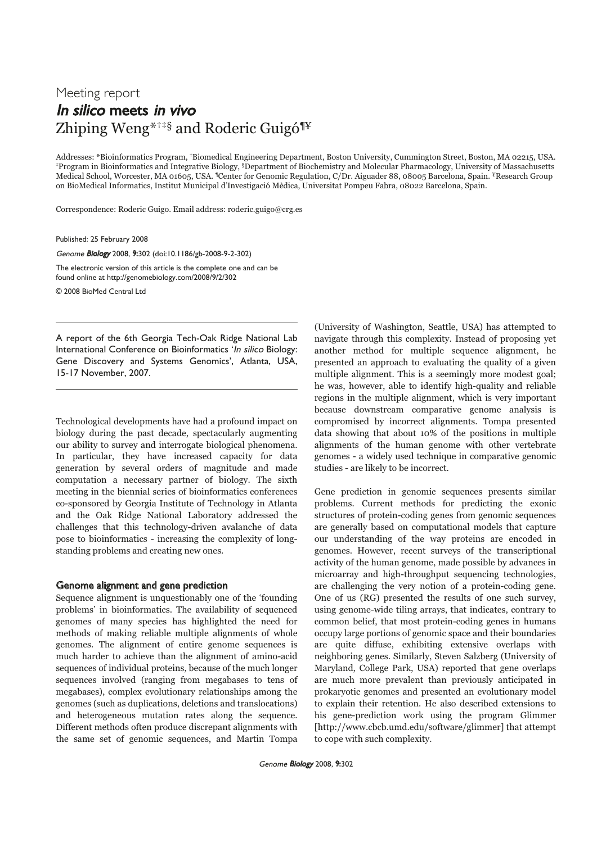## Meeting report In silico meets in vivo Zhiping Weng<sup>\*†‡§</sup> and Roderic Guigó<sup>¶¥</sup>

Addresses: \*Bioinformatics Program, †Biomedical Engineering Department, Boston University, Cummington Street, Boston, MA 02215, USA. ‡Program in Bioinformatics and Integrative Biology, §Department of Biochemistry and Molecular Pharmacology, University of Massachusetts Medical School, Worcester, MA 01605, USA. <sup>1</sup>Center for Genomic Regulation, C/Dr. Aiguader 88, 08005 Barcelona, Spain. <sup>¥</sup>Research Group on BioMedical Informatics, Institut Municipal d'Investigació Mèdica, Universitat Pompeu Fabra, 08022 Barcelona, Spain.

Correspondence: Roderic Guigo. Email address: roderic.guigo@crg.es

Genome Biology 2008, 9:302 (doi:10.1186/gb-2008-9-2-302)

The electronic version of this article is the complete one and can be found online at http://genomebiology.com/2008/9/2/302

© 2008 BioMed Central Ltd

A report of the 6th Georgia Tech-Oak Ridge National Lab International Conference on Bioinformatics 'In silico Biology: Gene Discovery and Systems Genomics', Atlanta, USA, 15-17 November, 2007.

Technological developments have had a profound impact on biology during the past decade, spectacularly augmenting our ability to survey and interrogate biological phenomena. In particular, they have increased capacity for data generation by several orders of magnitude and made computation a necessary partner of biology. The sixth meeting in the biennial series of bioinformatics conferences co-sponsored by Georgia Institute of Technology in Atlanta and the Oak Ridge National Laboratory addressed the challenges that this technology-driven avalanche of data pose to bioinformatics - increasing the complexity of longstanding problems and creating new ones.

## Genome alignment and gene prediction

Sequence alignment is unquestionably one of the 'founding problems' in bioinformatics. The availability of sequenced genomes of many species has highlighted the need for methods of making reliable multiple alignments of whole genomes. The alignment of entire genome sequences is much harder to achieve than the alignment of amino-acid sequences of individual proteins, because of the much longer sequences involved (ranging from megabases to tens of megabases), complex evolutionary relationships among the genomes (such as duplications, deletions and translocations) and heterogeneous mutation rates along the sequence. Different methods often produce discrepant alignments with the same set of genomic sequences, and Martin Tompa (University of Washington, Seattle, USA) has attempted to navigate through this complexity. Instead of proposing yet another method for multiple sequence alignment, he presented an approach to evaluating the quality of a given multiple alignment. This is a seemingly more modest goal; he was, however, able to identify high-quality and reliable regions in the multiple alignment, which is very important because downstream comparative genome analysis is compromised by incorrect alignments. Tompa presented data showing that about 10% of the positions in multiple alignments of the human genome with other vertebrate genomes - a widely used technique in comparative genomic studies - are likely to be incorrect.

Gene prediction in genomic sequences presents similar problems. Current methods for predicting the exonic structures of protein-coding genes from genomic sequences are generally based on computational models that capture our understanding of the way proteins are encoded in genomes. However, recent surveys of the transcriptional activity of the human genome, made possible by advances in microarray and high-throughput sequencing technologies, are challenging the very notion of a protein-coding gene. One of us (RG) presented the results of one such survey, using genome-wide tiling arrays, that indicates, contrary to common belief, that most protein-coding genes in humans occupy large portions of genomic space and their boundaries are quite diffuse, exhibiting extensive overlaps with neighboring genes. Similarly, Steven Salzberg (University of Maryland, College Park, USA) reported that gene overlaps are much more prevalent than previously anticipated in prokaryotic genomes and presented an evolutionary model to explain their retention. He also described extensions to his gene-prediction work using the program Glimmer [http://www.cbcb.umd.edu/software/glimmer] that attempt to cope with such complexity.

Published: 25 February 2008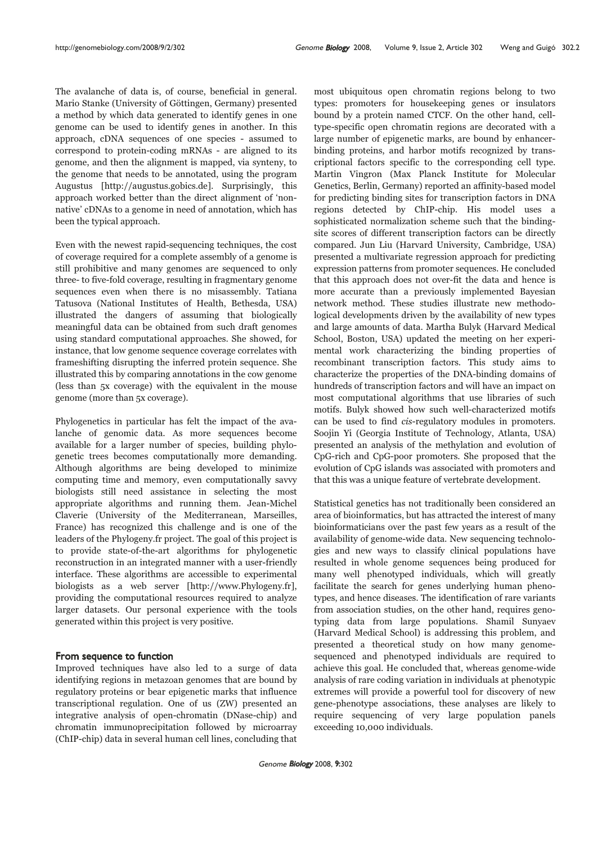The avalanche of data is, of course, beneficial in general. Mario Stanke (University of Göttingen, Germany) presented a method by which data generated to identify genes in one genome can be used to identify genes in another. In this approach, cDNA sequences of one species - assumed to correspond to protein-coding mRNAs - are aligned to its genome, and then the alignment is mapped, via synteny, to the genome that needs to be annotated, using the program Augustus [http://augustus.gobics.de]. Surprisingly, this approach worked better than the direct alignment of 'nonnative' cDNAs to a genome in need of annotation, which has been the typical approach.

Even with the newest rapid-sequencing techniques, the cost of coverage required for a complete assembly of a genome is still prohibitive and many genomes are sequenced to only three- to five-fold coverage, resulting in fragmentary genome sequences even when there is no misassembly. Tatiana Tatusova (National Institutes of Health, Bethesda, USA) illustrated the dangers of assuming that biologically meaningful data can be obtained from such draft genomes using standard computational approaches. She showed, for instance, that low genome sequence coverage correlates with frameshifting disrupting the inferred protein sequence. She illustrated this by comparing annotations in the cow genome (less than 5x coverage) with the equivalent in the mouse genome (more than 5x coverage).

Phylogenetics in particular has felt the impact of the avalanche of genomic data. As more sequences become available for a larger number of species, building phylogenetic trees becomes computationally more demanding. Although algorithms are being developed to minimize computing time and memory, even computationally savvy biologists still need assistance in selecting the most appropriate algorithms and running them. Jean-Michel Claverie (University of the Mediterranean, Marseilles, France) has recognized this challenge and is one of the leaders of the Phylogeny.fr project. The goal of this project is to provide state-of-the-art algorithms for phylogenetic reconstruction in an integrated manner with a user-friendly interface. These algorithms are accessible to experimental biologists as a web server [http://www.Phylogeny.fr], providing the computational resources required to analyze larger datasets. Our personal experience with the tools generated within this project is very positive.

## From sequence to function

Improved techniques have also led to a surge of data identifying regions in metazoan genomes that are bound by regulatory proteins or bear epigenetic marks that influence transcriptional regulation. One of us (ZW) presented an integrative analysis of open-chromatin (DNase-chip) and chromatin immunoprecipitation followed by microarray (ChIP-chip) data in several human cell lines, concluding that

most ubiquitous open chromatin regions belong to two types: promoters for housekeeping genes or insulators bound by a protein named CTCF. On the other hand, celltype-specific open chromatin regions are decorated with a large number of epigenetic marks, are bound by enhancerbinding proteins, and harbor motifs recognized by transcriptional factors specific to the corresponding cell type. Martin Vingron (Max Planck Institute for Molecular Genetics, Berlin, Germany) reported an affinity-based model for predicting binding sites for transcription factors in DNA regions detected by ChIP-chip. His model uses a sophisticated normalization scheme such that the bindingsite scores of different transcription factors can be directly compared. Jun Liu (Harvard University, Cambridge, USA) presented a multivariate regression approach for predicting expression patterns from promoter sequences. He concluded that this approach does not over-fit the data and hence is more accurate than a previously implemented Bayesian network method. These studies illustrate new methodological developments driven by the availability of new types and large amounts of data. Martha Bulyk (Harvard Medical School, Boston, USA) updated the meeting on her experimental work characterizing the binding properties of recombinant transcription factors. This study aims to characterize the properties of the DNA-binding domains of hundreds of transcription factors and will have an impact on most computational algorithms that use libraries of such motifs. Bulyk showed how such well-characterized motifs can be used to find cis-regulatory modules in promoters. Soojin Yi (Georgia Institute of Technology, Atlanta, USA) presented an analysis of the methylation and evolution of CpG-rich and CpG-poor promoters. She proposed that the evolution of CpG islands was associated with promoters and that this was a unique feature of vertebrate development.

Statistical genetics has not traditionally been considered an area of bioinformatics, but has attracted the interest of many bioinformaticians over the past few years as a result of the availability of genome-wide data. New sequencing technologies and new ways to classify clinical populations have resulted in whole genome sequences being produced for many well phenotyped individuals, which will greatly facilitate the search for genes underlying human phenotypes, and hence diseases. The identification of rare variants from association studies, on the other hand, requires genotyping data from large populations. Shamil Sunyaev (Harvard Medical School) is addressing this problem, and presented a theoretical study on how many genomesequenced and phenotyped individuals are required to achieve this goal. He concluded that, whereas genome-wide analysis of rare coding variation in individuals at phenotypic extremes will provide a powerful tool for discovery of new gene-phenotype associations, these analyses are likely to require sequencing of very large population panels exceeding 10,000 individuals.